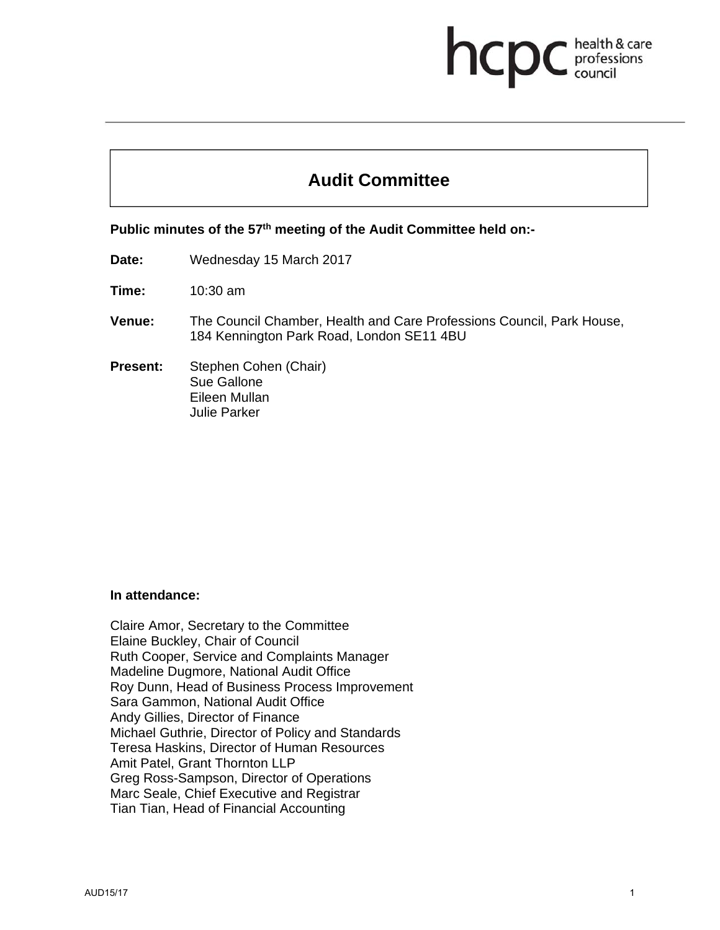# health & care professions council

# **Audit Committee**

Public minutes of the 57<sup>th</sup> meeting of the Audit Committee held on:-

**Date:** Wednesday 15 March 2017

**Time:** 10:30 am

- **Venue:** The Council Chamber, Health and Care Professions Council, Park House, 184 Kennington Park Road, London SE11 4BU
- **Present:** Stephen Cohen (Chair) Sue Gallone Eileen Mullan Julie Parker

#### **In attendance:**

Claire Amor, Secretary to the Committee Elaine Buckley, Chair of Council Ruth Cooper, Service and Complaints Manager Madeline Dugmore, National Audit Office Roy Dunn, Head of Business Process Improvement Sara Gammon, National Audit Office Andy Gillies, Director of Finance Michael Guthrie, Director of Policy and Standards Teresa Haskins, Director of Human Resources Amit Patel, Grant Thornton LLP Greg Ross-Sampson, Director of Operations Marc Seale, Chief Executive and Registrar Tian Tian, Head of Financial Accounting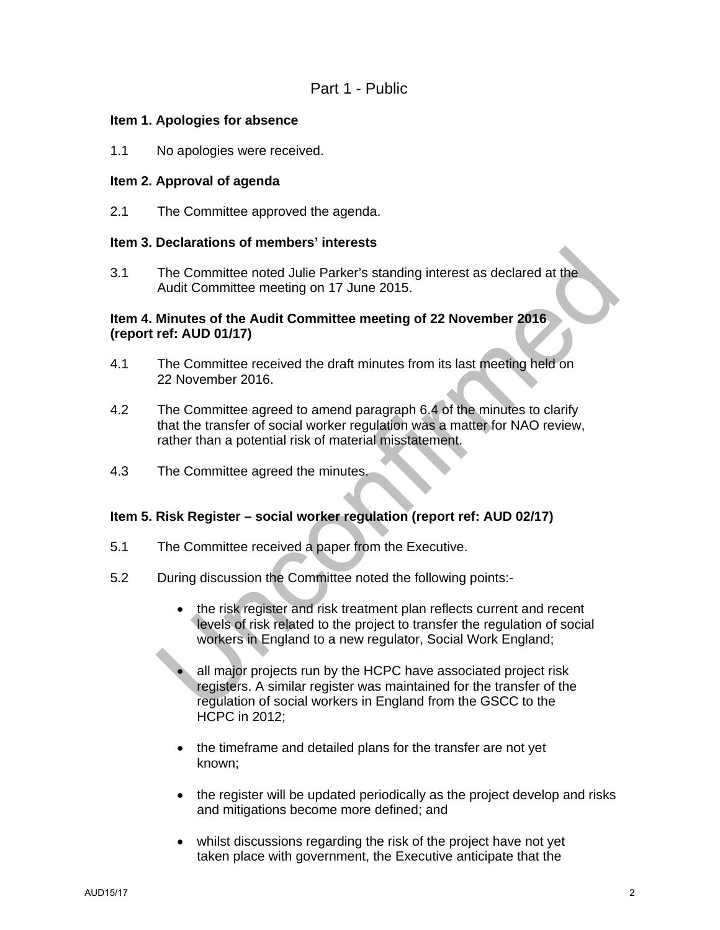#### **Item 1. Apologies for absence**

1.1 No apologies were received.

## **Item 2. Approval of agenda**

2.1 The Committee approved the agenda.

#### **Item 3. Declarations of members' interests**

3.1 The Committee noted Julie Parker's standing interest as declared at the Audit Committee meeting on 17 June 2015.

#### **Item 4. Minutes of the Audit Committee meeting of 22 November 2016 (report ref: AUD 01/17)**

- 4.1 The Committee received the draft minutes from its last meeting held on 22 November 2016.
- 4.2 The Committee agreed to amend paragraph 6.4 of the minutes to clarify that the transfer of social worker regulation was a matter for NAO review, rather than a potential risk of material misstatement.
- 4.3 The Committee agreed the minutes.

## **Item 5. Risk Register – social worker regulation (report ref: AUD 02/17)**

- 5.1 The Committee received a paper from the Executive.
- 5.2 During discussion the Committee noted the following points:-
	- the risk register and risk treatment plan reflects current and recent levels of risk related to the project to transfer the regulation of social workers in England to a new regulator, Social Work England;
	- all major projects run by the HCPC have associated project risk registers. A similar register was maintained for the transfer of the regulation of social workers in England from the GSCC to the HCPC in 2012;
	- the timeframe and detailed plans for the transfer are not yet known;
	- the register will be updated periodically as the project develop and risks and mitigations become more defined; and
	- whilst discussions regarding the risk of the project have not yet taken place with government, the Executive anticipate that the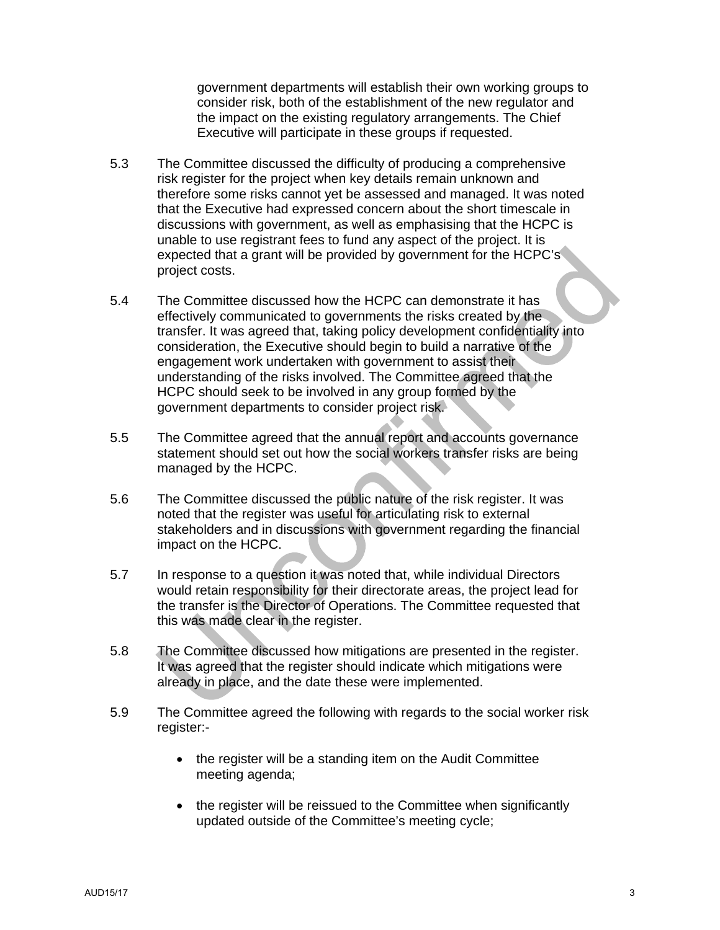government departments will establish their own working groups to consider risk, both of the establishment of the new regulator and the impact on the existing regulatory arrangements. The Chief Executive will participate in these groups if requested.

- 5.3 The Committee discussed the difficulty of producing a comprehensive risk register for the project when key details remain unknown and therefore some risks cannot yet be assessed and managed. It was noted that the Executive had expressed concern about the short timescale in discussions with government, as well as emphasising that the HCPC is unable to use registrant fees to fund any aspect of the project. It is expected that a grant will be provided by government for the HCPC's project costs.
- 5.4 The Committee discussed how the HCPC can demonstrate it has effectively communicated to governments the risks created by the transfer. It was agreed that, taking policy development confidentiality into consideration, the Executive should begin to build a narrative of the engagement work undertaken with government to assist their understanding of the risks involved. The Committee agreed that the HCPC should seek to be involved in any group formed by the government departments to consider project risk.
- 5.5 The Committee agreed that the annual report and accounts governance statement should set out how the social workers transfer risks are being managed by the HCPC.
- 5.6 The Committee discussed the public nature of the risk register. It was noted that the register was useful for articulating risk to external stakeholders and in discussions with government regarding the financial impact on the HCPC.
- 5.7 In response to a question it was noted that, while individual Directors would retain responsibility for their directorate areas, the project lead for the transfer is the Director of Operations. The Committee requested that this was made clear in the register.
- 5.8 The Committee discussed how mitigations are presented in the register. It was agreed that the register should indicate which mitigations were already in place, and the date these were implemented.
- 5.9 The Committee agreed the following with regards to the social worker risk register:-
	- the register will be a standing item on the Audit Committee meeting agenda;
	- the register will be reissued to the Committee when significantly updated outside of the Committee's meeting cycle;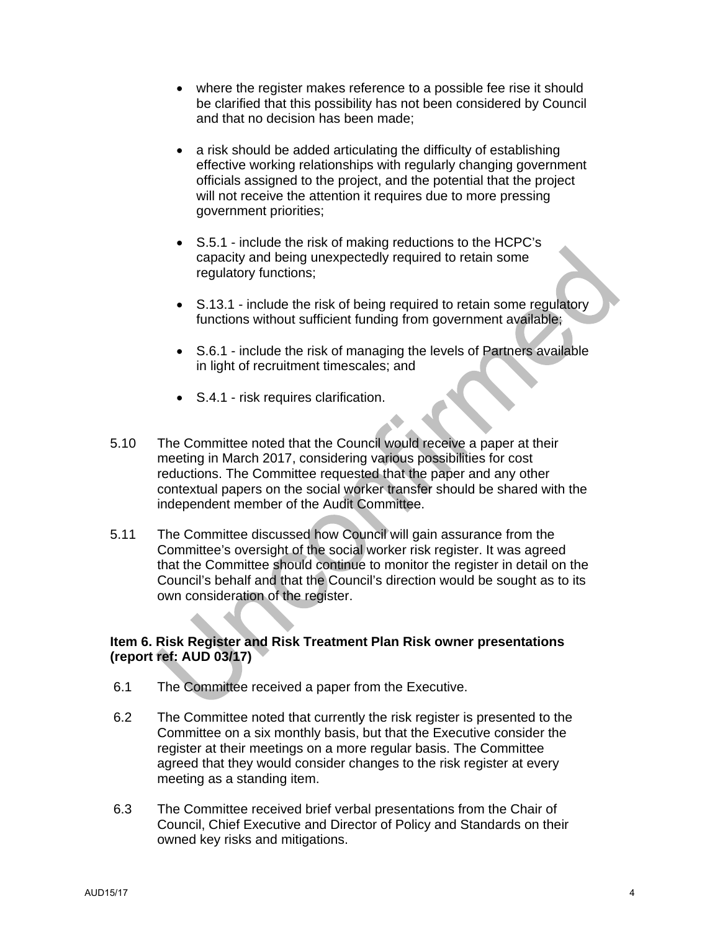- where the register makes reference to a possible fee rise it should be clarified that this possibility has not been considered by Council and that no decision has been made;
- a risk should be added articulating the difficulty of establishing effective working relationships with regularly changing government officials assigned to the project, and the potential that the project will not receive the attention it requires due to more pressing government priorities;
- S.5.1 include the risk of making reductions to the HCPC's capacity and being unexpectedly required to retain some regulatory functions;
- S.13.1 include the risk of being required to retain some regulatory functions without sufficient funding from government available;
- S.6.1 include the risk of managing the levels of Partners available in light of recruitment timescales; and
- S.4.1 risk requires clarification.
- 5.10 The Committee noted that the Council would receive a paper at their meeting in March 2017, considering various possibilities for cost reductions. The Committee requested that the paper and any other contextual papers on the social worker transfer should be shared with the independent member of the Audit Committee.
- 5.11 The Committee discussed how Council will gain assurance from the Committee's oversight of the social worker risk register. It was agreed that the Committee should continue to monitor the register in detail on the Council's behalf and that the Council's direction would be sought as to its own consideration of the register.

## **Item 6. Risk Register and Risk Treatment Plan Risk owner presentations (report ref: AUD 03/17)**

- 6.1 The Committee received a paper from the Executive.
- 6.2 The Committee noted that currently the risk register is presented to the Committee on a six monthly basis, but that the Executive consider the register at their meetings on a more regular basis. The Committee agreed that they would consider changes to the risk register at every meeting as a standing item.
- 6.3 The Committee received brief verbal presentations from the Chair of Council, Chief Executive and Director of Policy and Standards on their owned key risks and mitigations.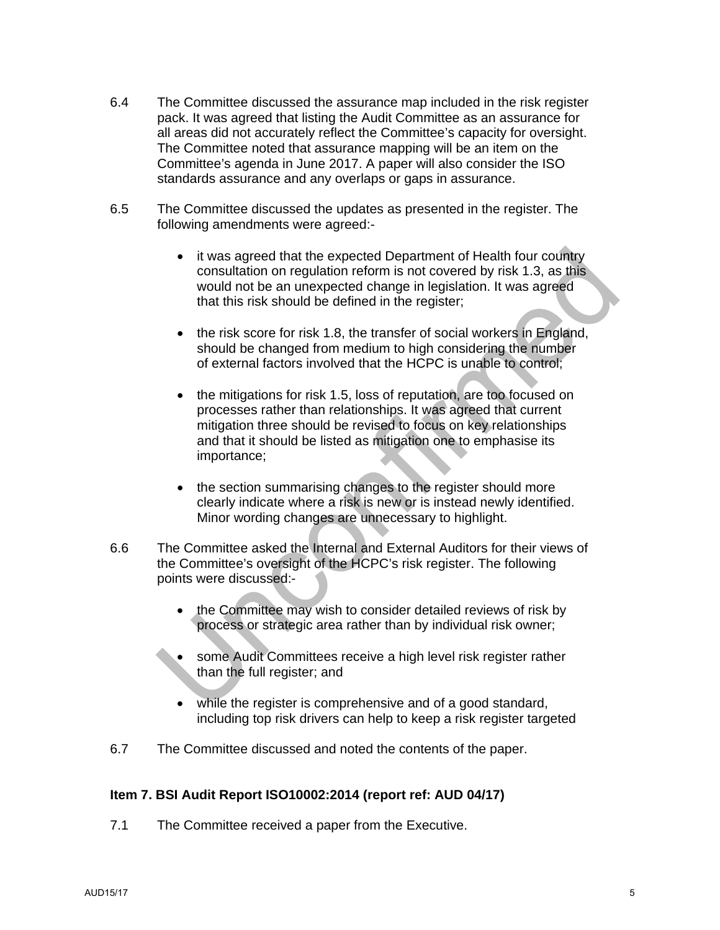- 6.4 The Committee discussed the assurance map included in the risk register pack. It was agreed that listing the Audit Committee as an assurance for all areas did not accurately reflect the Committee's capacity for oversight. The Committee noted that assurance mapping will be an item on the Committee's agenda in June 2017. A paper will also consider the ISO standards assurance and any overlaps or gaps in assurance.
- 6.5 The Committee discussed the updates as presented in the register. The following amendments were agreed:-
	- it was agreed that the expected Department of Health four country consultation on regulation reform is not covered by risk 1.3, as this would not be an unexpected change in legislation. It was agreed that this risk should be defined in the register;
	- the risk score for risk 1.8, the transfer of social workers in England, should be changed from medium to high considering the number of external factors involved that the HCPC is unable to control;
	- the mitigations for risk 1.5, loss of reputation, are too focused on processes rather than relationships. It was agreed that current mitigation three should be revised to focus on key relationships and that it should be listed as mitigation one to emphasise its importance;
	- the section summarising changes to the register should more clearly indicate where a risk is new or is instead newly identified. Minor wording changes are unnecessary to highlight.
- 6.6 The Committee asked the Internal and External Auditors for their views of the Committee's oversight of the HCPC's risk register. The following points were discussed:
	- the Committee may wish to consider detailed reviews of risk by process or strategic area rather than by individual risk owner;
	- some Audit Committees receive a high level risk register rather than the full register; and
	- while the register is comprehensive and of a good standard, including top risk drivers can help to keep a risk register targeted
- 6.7 The Committee discussed and noted the contents of the paper.

## **Item 7. BSI Audit Report ISO10002:2014 (report ref: AUD 04/17)**

7.1 The Committee received a paper from the Executive.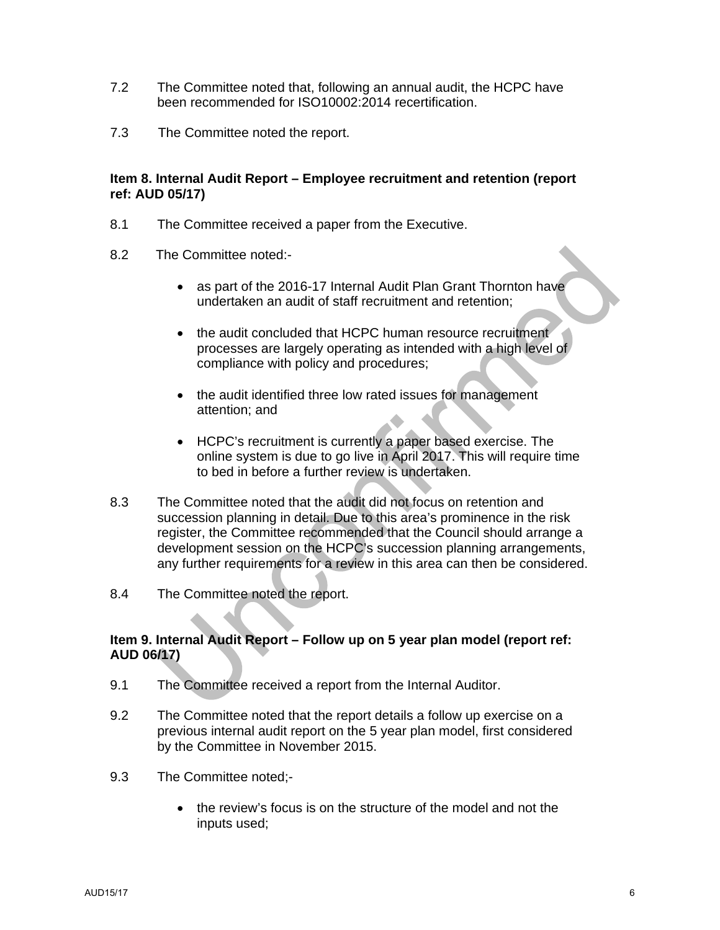- 7.2 The Committee noted that, following an annual audit, the HCPC have been recommended for ISO10002:2014 recertification.
- 7.3 The Committee noted the report.

## **Item 8. Internal Audit Report – Employee recruitment and retention (report ref: AUD 05/17)**

- 8.1 The Committee received a paper from the Executive.
- 8.2 The Committee noted:-
	- as part of the 2016-17 Internal Audit Plan Grant Thornton have undertaken an audit of staff recruitment and retention;
	- the audit concluded that HCPC human resource recruitment processes are largely operating as intended with a high level of compliance with policy and procedures;
	- the audit identified three low rated issues for management attention; and
	- HCPC's recruitment is currently a paper based exercise. The online system is due to go live in April 2017. This will require time to bed in before a further review is undertaken.
- 8.3 The Committee noted that the audit did not focus on retention and succession planning in detail. Due to this area's prominence in the risk register, the Committee recommended that the Council should arrange a development session on the HCPC's succession planning arrangements, any further requirements for a review in this area can then be considered.
- 8.4 The Committee noted the report.

#### **Item 9. Internal Audit Report – Follow up on 5 year plan model (report ref: AUD 06/17)**

- 9.1 The Committee received a report from the Internal Auditor.
- 9.2 The Committee noted that the report details a follow up exercise on a previous internal audit report on the 5 year plan model, first considered by the Committee in November 2015.
- 9.3 The Committee noted;-
	- the review's focus is on the structure of the model and not the inputs used;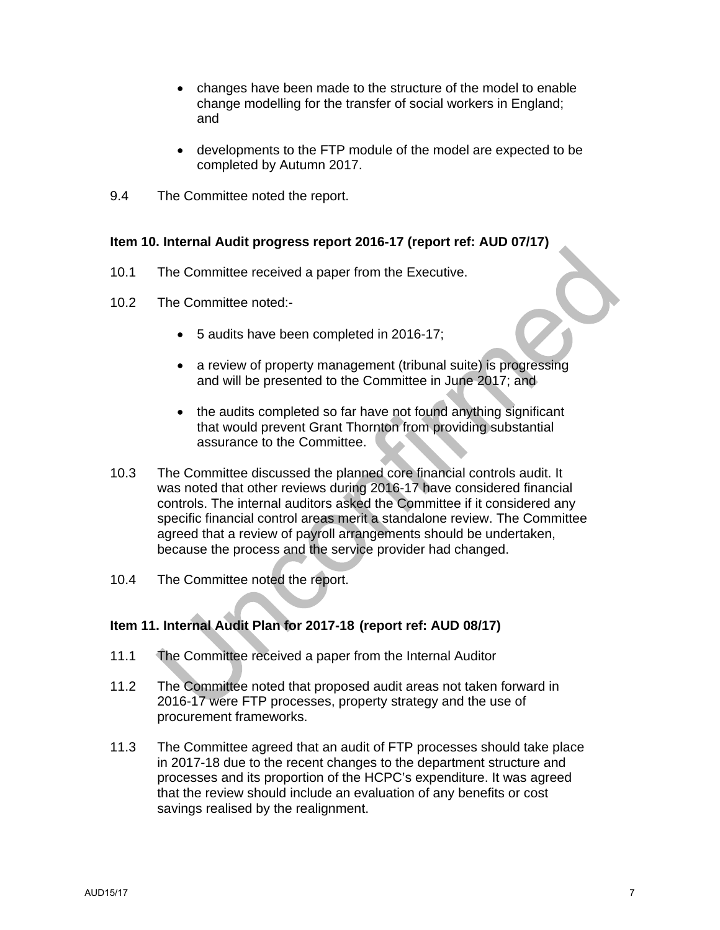- changes have been made to the structure of the model to enable change modelling for the transfer of social workers in England; and
- developments to the FTP module of the model are expected to be completed by Autumn 2017.
- 9.4 The Committee noted the report.

## **Item 10. Internal Audit progress report 2016-17 (report ref: AUD 07/17)**

- 10.1 The Committee received a paper from the Executive.
- 10.2 The Committee noted:-
	- 5 audits have been completed in 2016-17;
	- a review of property management (tribunal suite) is progressing and will be presented to the Committee in June 2017; and
	- the audits completed so far have not found anything significant that would prevent Grant Thornton from providing substantial assurance to the Committee.
- 10.3 The Committee discussed the planned core financial controls audit. It was noted that other reviews during 2016-17 have considered financial controls. The internal auditors asked the Committee if it considered any specific financial control areas merit a standalone review. The Committee agreed that a review of payroll arrangements should be undertaken, because the process and the service provider had changed.
- 10.4 The Committee noted the report.

## **Item 11. Internal Audit Plan for 2017-18 (report ref: AUD 08/17)**

- 11.1 The Committee received a paper from the Internal Auditor
- 11.2 The Committee noted that proposed audit areas not taken forward in 2016-17 were FTP processes, property strategy and the use of procurement frameworks.
- 11.3 The Committee agreed that an audit of FTP processes should take place in 2017-18 due to the recent changes to the department structure and processes and its proportion of the HCPC's expenditure. It was agreed that the review should include an evaluation of any benefits or cost savings realised by the realignment.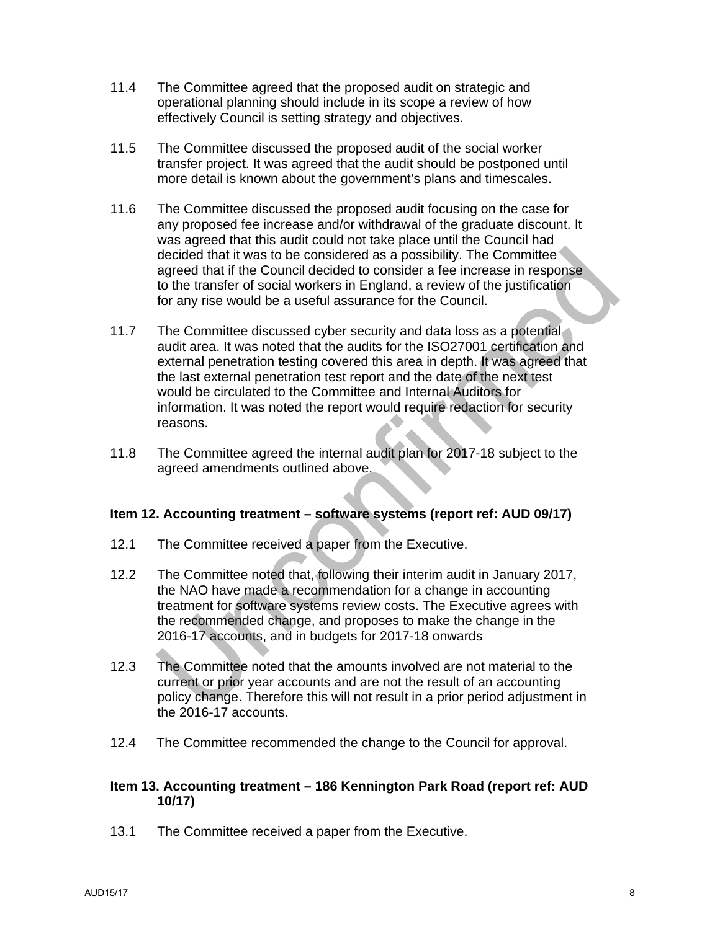- 11.4 The Committee agreed that the proposed audit on strategic and operational planning should include in its scope a review of how effectively Council is setting strategy and objectives.
- 11.5 The Committee discussed the proposed audit of the social worker transfer project. It was agreed that the audit should be postponed until more detail is known about the government's plans and timescales.
- 11.6 The Committee discussed the proposed audit focusing on the case for any proposed fee increase and/or withdrawal of the graduate discount. It was agreed that this audit could not take place until the Council had decided that it was to be considered as a possibility. The Committee agreed that if the Council decided to consider a fee increase in response to the transfer of social workers in England, a review of the justification for any rise would be a useful assurance for the Council.
- 11.7 The Committee discussed cyber security and data loss as a potential audit area. It was noted that the audits for the ISO27001 certification and external penetration testing covered this area in depth. It was agreed that the last external penetration test report and the date of the next test would be circulated to the Committee and Internal Auditors for information. It was noted the report would require redaction for security reasons.
- 11.8 The Committee agreed the internal audit plan for 2017-18 subject to the agreed amendments outlined above.

## **Item 12. Accounting treatment – software systems (report ref: AUD 09/17)**

- 12.1 The Committee received a paper from the Executive.
- 12.2 The Committee noted that, following their interim audit in January 2017, the NAO have made a recommendation for a change in accounting treatment for software systems review costs. The Executive agrees with the recommended change, and proposes to make the change in the 2016-17 accounts, and in budgets for 2017-18 onwards
- 12.3 The Committee noted that the amounts involved are not material to the current or prior year accounts and are not the result of an accounting policy change. Therefore this will not result in a prior period adjustment in the 2016-17 accounts.
- 12.4 The Committee recommended the change to the Council for approval.

#### **Item 13. Accounting treatment – 186 Kennington Park Road (report ref: AUD 10/17)**

13.1 The Committee received a paper from the Executive.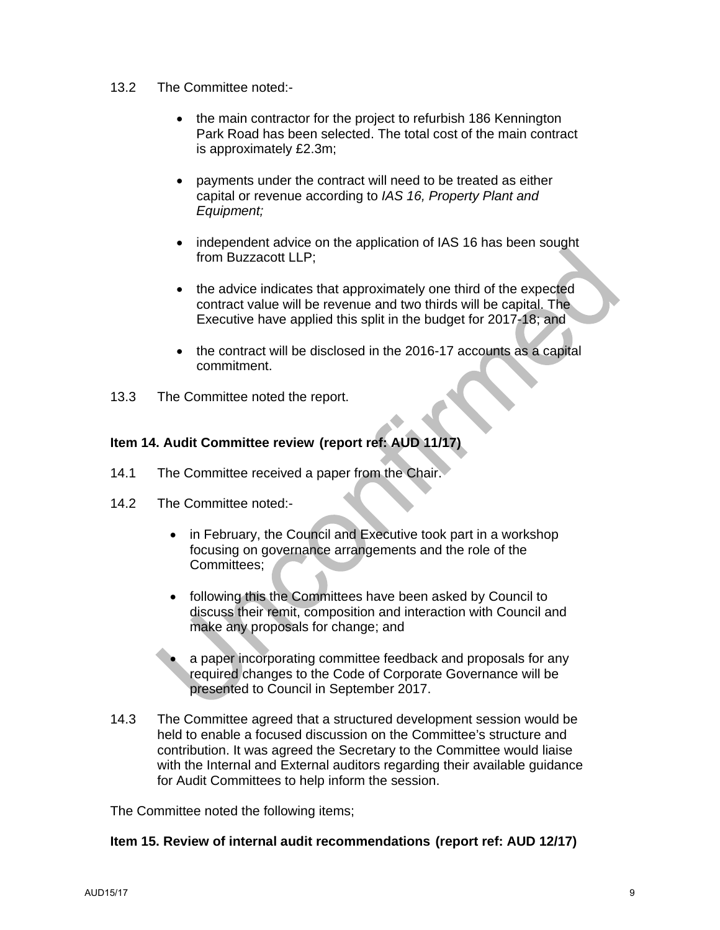## 13.2 The Committee noted:-

- the main contractor for the project to refurbish 186 Kennington Park Road has been selected. The total cost of the main contract is approximately £2.3m;
- payments under the contract will need to be treated as either capital or revenue according to *IAS 16, Property Plant and Equipment;*
- independent advice on the application of IAS 16 has been sought from Buzzacott LLP;
- the advice indicates that approximately one third of the expected contract value will be revenue and two thirds will be capital. The Executive have applied this split in the budget for 2017-18; and
- the contract will be disclosed in the 2016-17 accounts as a capital commitment.
- 13.3 The Committee noted the report.

## **Item 14. Audit Committee review (report ref: AUD 11/17)**

- 14.1 The Committee received a paper from the Chair.
- 14.2 The Committee noted:-
	- in February, the Council and Executive took part in a workshop focusing on governance arrangements and the role of the Committees;
	- following this the Committees have been asked by Council to discuss their remit, composition and interaction with Council and make any proposals for change; and
	- a paper incorporating committee feedback and proposals for any required changes to the Code of Corporate Governance will be presented to Council in September 2017.
- 14.3 The Committee agreed that a structured development session would be held to enable a focused discussion on the Committee's structure and contribution. It was agreed the Secretary to the Committee would liaise with the Internal and External auditors regarding their available guidance for Audit Committees to help inform the session.

The Committee noted the following items;

## **Item 15. Review of internal audit recommendations (report ref: AUD 12/17)**